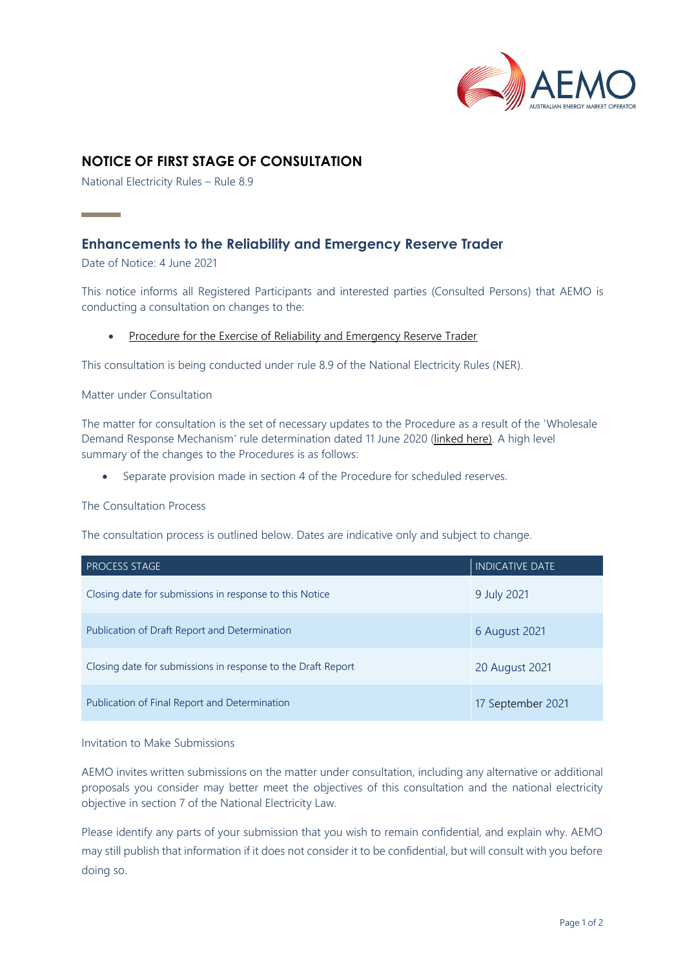

# **NOTICE OF FIRST STAGE OF CONSULTATION**

National Electricity Rules – Rule 8.9

# **Enhancements to the Reliability and Emergency Reserve Trader**

Date of Notice: 4 June 2021

**Contract Contract** 

This notice informs all Registered Participants and interested parties (Consulted Persons) that AEMO is conducting a consultation on changes to the:

• [Procedure for the Exercise of Reliability and Emergency Reserve Trader](https://www.aemo.com.au/-/media/Files/Electricity/NEM/Emergency_Management/RERT/Procedure_for_the_Exercise_of_Reliability_and_Emergency_Reserve_Trader_RERT.pdf)

This consultation is being conducted under rule 8.9 of the National Electricity Rules (NER).

#### Matter under Consultation

The matter for consultation is the set of necessary updates to the Procedure as a result of the 'Wholesale Demand Response Mechanism' rule determination dated 11 June 2020 [\(linked here\)](https://www.aemc.gov.au/rule-changes/wholesale-demand-response-mechanism). A high level summary of the changes to the Procedures is as follows:

• Separate provision made in section 4 of the Procedure for scheduled reserves.

#### The Consultation Process

The consultation process is outlined below. Dates are indicative only and subject to change.

| <b>PROCESS STAGE</b>                                         | <b>INDICATIVE DATE</b> |
|--------------------------------------------------------------|------------------------|
| Closing date for submissions in response to this Notice      | 9 July 2021            |
| Publication of Draft Report and Determination                | 6 August 2021          |
| Closing date for submissions in response to the Draft Report | 20 August 2021         |
| Publication of Final Report and Determination                | 17 September 2021      |

#### Invitation to Make Submissions

AEMO invites written submissions on the matter under consultation, including any alternative or additional proposals you consider may better meet the objectives of this consultation and the national electricity objective in section 7 of the National Electricity Law.

Please identify any parts of your submission that you wish to remain confidential, and explain why. AEMO may still publish that information if it does not consider it to be confidential, but will consult with you before doing so.